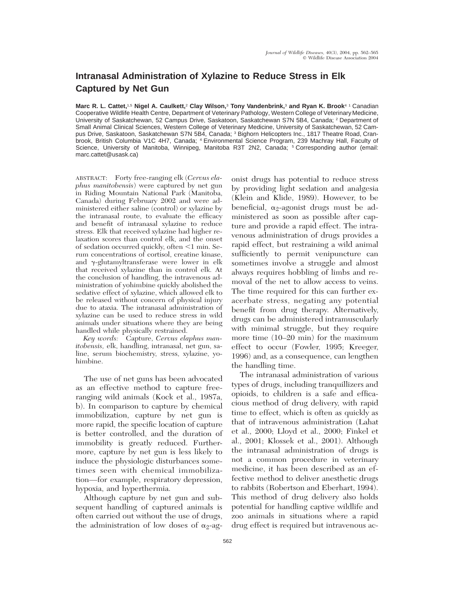## **Intranasal Administration of Xylazine to Reduce Stress in Elk Captured by Net Gun**

**Marc R. L. Cattet,**1,5 **Nigel A. Caulkett,**<sup>2</sup> **Clay Wilson,**<sup>3</sup> **Tony Vandenbrink,**<sup>3</sup> **and Ryan K. Brook**4 1 Canadian Cooperative Wildlife Health Centre, Department of Veterinary Pathology, Western College of Veterinary Medicine, University of Saskatchewan, 52 Campus Drive, Saskatoon, Saskatchewan S7N 5B4, Canada; <sup>2</sup> Department of Small Animal Clinical Sciences, Western College of Veterinary Medicine, University of Saskatchewan, 52 Campus Drive, Saskatoon, Saskatchewan S7N 5B4, Canada; <sup>3</sup> Bighorn Helicopters Inc., 1817 Theatre Road, Cranbrook, British Columbia V1C 4H7, Canada; <sup>4</sup> Environmental Science Program, 239 Machray Hall, Faculty of Science, University of Manitoba, Winnipeg, Manitoba R3T 2N2, Canada; <sup>5</sup> Corresponding author (email: marc.cattet@usask.ca)

ABSTRACT: Forty free-ranging elk (*Cervus elaphus manitobensis*) were captured by net gun in Riding Mountain National Park (Manitoba, Canada) during February 2002 and were administered either saline (control) or xylazine by the intranasal route, to evaluate the efficacy and benefit of intranasal xylazine to reduce stress. Elk that received xylazine had higher relaxation scores than control elk, and the onset of sedation occurred quickly, often  $\leq\!1$  min. Serum concentrations of cortisol, creatine kinase, and  $\gamma$ -glutamyltransferase were lower in elk that received xylazine than in control elk. At the conclusion of handling, the intravenous administration of yohimbine quickly abolished the sedative effect of xylazine, which allowed elk to be released without concern of physical injury due to ataxia. The intranasal administration of xylazine can be used to reduce stress in wild animals under situations where they are being handled while physically restrained.

*Key words:* Capture, *Cervus elaphus manitobensis,* elk, handling, intranasal, net gun, saline, serum biochemistry, stress, xylazine, yohimbine.

The use of net guns has been advocated as an effective method to capture freeranging wild animals (Kock et al., 1987a, b). In comparison to capture by chemical immobilization, capture by net gun is more rapid, the specific location of capture is better controlled, and the duration of immobility is greatly reduced. Furthermore, capture by net gun is less likely to induce the physiologic disturbances sometimes seen with chemical immobilization—for example, respiratory depression, hypoxia, and hyperthermia.

Although capture by net gun and subsequent handling of captured animals is often carried out without the use of drugs, the administration of low doses of  $\alpha_2$ -ag-

onist drugs has potential to reduce stress by providing light sedation and analgesia (Klein and Klide, 1989). However, to be beneficial,  $\alpha_2$ -agonist drugs must be administered as soon as possible after capture and provide a rapid effect. The intravenous administration of drugs provides a rapid effect, but restraining a wild animal sufficiently to permit venipuncture can sometimes involve a struggle and almost always requires hobbling of limbs and removal of the net to allow access to veins. The time required for this can further exacerbate stress, negating any potential benefit from drug therapy. Alternatively, drugs can be administered intramuscularly with minimal struggle, but they require more time (10–20 min) for the maximum effect to occur (Fowler, 1995; Kreeger, 1996) and, as a consequence, can lengthen the handling time.

The intranasal administration of various types of drugs, including tranquillizers and opioids, to children is a safe and efficacious method of drug delivery, with rapid time to effect, which is often as quickly as that of intravenous administration (Lahat et al., 2000; Lloyd et al., 2000; Finkel et al., 2001; Klossek et al., 2001). Although the intranasal administration of drugs is not a common procedure in veterinary medicine, it has been described as an effective method to deliver anesthetic drugs to rabbits (Robertson and Eberhart, 1994). This method of drug delivery also holds potential for handling captive wildlife and zoo animals in situations where a rapid drug effect is required but intravenous ac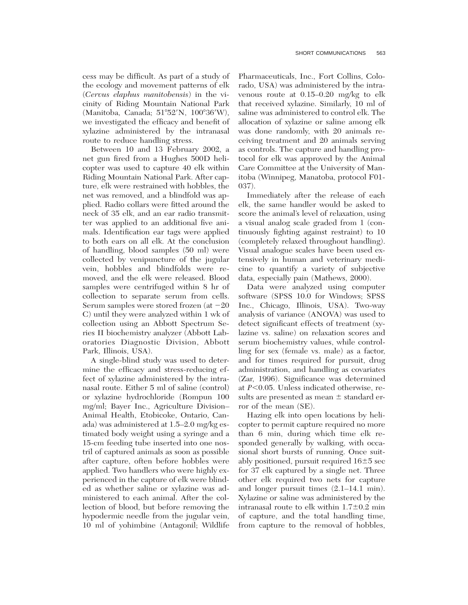cess may be difficult. As part of a study of the ecology and movement patterns of elk (*Cervus elaphus manitobensis*) in the vicinity of Riding Mountain National Park (Manitoba, Canada; 51°52'N, 100°36'W), we investigated the efficacy and benefit of xylazine administered by the intranasal route to reduce handling stress.

Between 10 and 13 February 2002, a net gun fired from a Hughes 500D helicopter was used to capture 40 elk within Riding Mountain National Park. After capture, elk were restrained with hobbles, the net was removed, and a blindfold was applied. Radio collars were fitted around the neck of 35 elk, and an ear radio transmitter was applied to an additional five animals. Identification ear tags were applied to both ears on all elk. At the conclusion of handling, blood samples (50 ml) were collected by venipuncture of the jugular vein, hobbles and blindfolds were removed, and the elk were released. Blood samples were centrifuged within 8 hr of collection to separate serum from cells. Serum samples were stored frozen (at  $-20$ C) until they were analyzed within 1 wk of collection using an Abbott Spectrum Series II biochemistry analyzer (Abbott Laboratories Diagnostic Division, Abbott Park, Illinois, USA).

A single-blind study was used to determine the efficacy and stress-reducing effect of xylazine administered by the intranasal route. Either 5 ml of saline (control) or xylazine hydrochloride (Rompun 100 mg/ml; Bayer Inc., Agriculture Division– Animal Health, Etobicoke, Ontario, Canada) was administered at 1.5–2.0 mg/kg estimated body weight using a syringe and a 15-cm feeding tube inserted into one nostril of captured animals as soon as possible after capture, often before hobbles were applied. Two handlers who were highly experienced in the capture of elk were blinded as whether saline or xylazine was administered to each animal. After the collection of blood, but before removing the hypodermic needle from the jugular vein, 10 ml of yohimbine (Antagonil; Wildlife Pharmaceuticals, Inc., Fort Collins, Colorado, USA) was administered by the intravenous route at 0.15–0.20 mg/kg to elk that received xylazine. Similarly, 10 ml of saline was administered to control elk. The allocation of xylazine or saline among elk was done randomly, with 20 animals receiving treatment and 20 animals serving as controls. The capture and handling protocol for elk was approved by the Animal Care Committee at the University of Manitoba (Winnipeg, Manatoba, protocol F01- 037).

Immediately after the release of each elk, the same handler would be asked to score the animal's level of relaxation, using a visual analog scale graded from 1 (continuously fighting against restraint) to 10 (completely relaxed throughout handling). Visual analogue scales have been used extensively in human and veterinary medicine to quantify a variety of subjective data, especially pain (Mathews, 2000).

Data were analyzed using computer software (SPSS 10.0 for Windows; SPSS Inc., Chicago, Illinois, USA). Two-way analysis of variance (ANOVA) was used to detect significant effects of treatment (xylazine vs. saline) on relaxation scores and serum biochemistry values, while controlling for sex (female vs. male) as a factor, and for times required for pursuit, drug administration, and handling as covariates (Zar, 1996). Significance was determined at  $P<0.05$ . Unless indicated otherwise, results are presented as mean  $\pm$  standard error of the mean (SE).

Hazing elk into open locations by helicopter to permit capture required no more than 6 min, during which time elk responded generally by walking, with occasional short bursts of running. Once suitably positioned, pursuit required  $16\pm5$  sec for 37 elk captured by a single net. Three other elk required two nets for capture and longer pursuit times (2.1–14.1 min). Xylazine or saline was administered by the intranasal route to elk within  $1.7\pm0.2$  min of capture, and the total handling time, from capture to the removal of hobbles,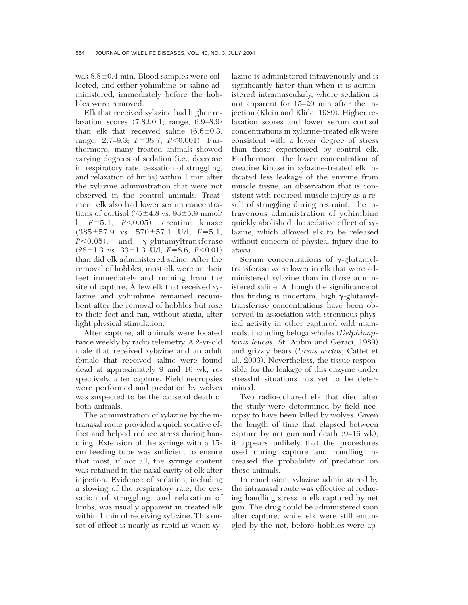was  $8.8\pm0.4$  min. Blood samples were collected, and either yohimbine or saline administered, immediately before the hobbles were removed.

Elk that received xylazine had higher relaxation scores  $(7.8\pm0.1; \text{ range}, 6.9-8.9)$ than elk that received saline  $(6.6\pm0.3;$ range, 2.7–9.3;  $F=38.7$ ,  $P<0.001$ ). Furthermore, many treated animals showed varying degrees of sedation (i.e., decrease in respiratory rate, cessation of struggling, and relaxation of limbs) within 1 min after the xylazine administration that were not observed in the control animals. Treatment elk also had lower serum concentrations of cortisol  $(75\pm4.8 \text{ vs. } 93\pm5.9 \text{ mmol}/$ l;  $F=5.1$ ,  $P<0.05$ ), creatine kinase  $(385\pm57.9 \text{ vs. } 570\pm57.1 \text{ U/l}; F=5.1,$  $P<0.05$ , and  $\gamma$ -glutamyltransferase  $(28\pm1.3 \text{ vs. } 33\pm1.3 \text{ U/l}; F=8.6, P<0.01)$ than did elk administered saline. After the removal of hobbles, most elk were on their feet immediately and running from the site of capture. A few elk that received xylazine and yohimbine remained recumbent after the removal of hobbles but rose to their feet and ran, without ataxia, after light physical stimulation.

After capture, all animals were located twice weekly by radio telemetry. A 2-yr-old male that received xylazine and an adult female that received saline were found dead at approximately 9 and 16 wk, respectively, after capture. Field necropsies were performed and predation by wolves was suspected to be the cause of death of both animals.

The administration of xylazine by the intranasal route provided a quick sedative effect and helped reduce stress during handling. Extension of the syringe with a 15 cm feeding tube was sufficient to ensure that most, if not all, the syringe content was retained in the nasal cavity of elk after injection. Evidence of sedation, including a slowing of the respiratory rate, the cessation of struggling, and relaxation of limbs, was usually apparent in treated elk within 1 min of receiving xylazine. This onset of effect is nearly as rapid as when xylazine is administered intravenously and is significantly faster than when it is administered intramuscularly, where sedation is not apparent for 15–20 min after the injection (Klein and Klide, 1989). Higher relaxation scores and lower serum cortisol concentrations in xylazine-treated elk were consistent with a lower degree of stress than those experienced by control elk. Furthermore, the lower concentration of creatine kinase in xylazine-treated elk indicated less leakage of the enzyme from muscle tissue, an observation that is consistent with reduced muscle injury as a result of struggling during restraint. The intravenous administration of yohimbine quickly abolished the sedative effect of xylazine, which allowed elk to be released without concern of physical injury due to ataxia.

Serum concentrations of  $\gamma$ -glutamyltransferase were lower in elk that were administered xylazine than in those administered saline. Although the significance of this finding is uncertain, high  $\gamma$ -glutamyltransferase concentrations have been observed in association with strenuous physical activity in other captured wild mammals, including beluga whales (*Delphinapterus leucas*; St. Aubin and Geraci, 1989) and grizzly bears (*Ursus arctos*; Cattet et al., 2003). Nevertheless, the tissue responsible for the leakage of this enzyme under stressful situations has yet to be determined.

Two radio-collared elk that died after the study were determined by field necropsy to have been killed by wolves. Given the length of time that elapsed between capture by net gun and death (9–16 wk), it appears unlikely that the procedures used during capture and handling increased the probability of predation on these animals.

In conclusion, xylazine administered by the intranasal route was effective at reducing handling stress in elk captured by net gun. The drug could be administered soon after capture, while elk were still entangled by the net, before hobbles were ap-